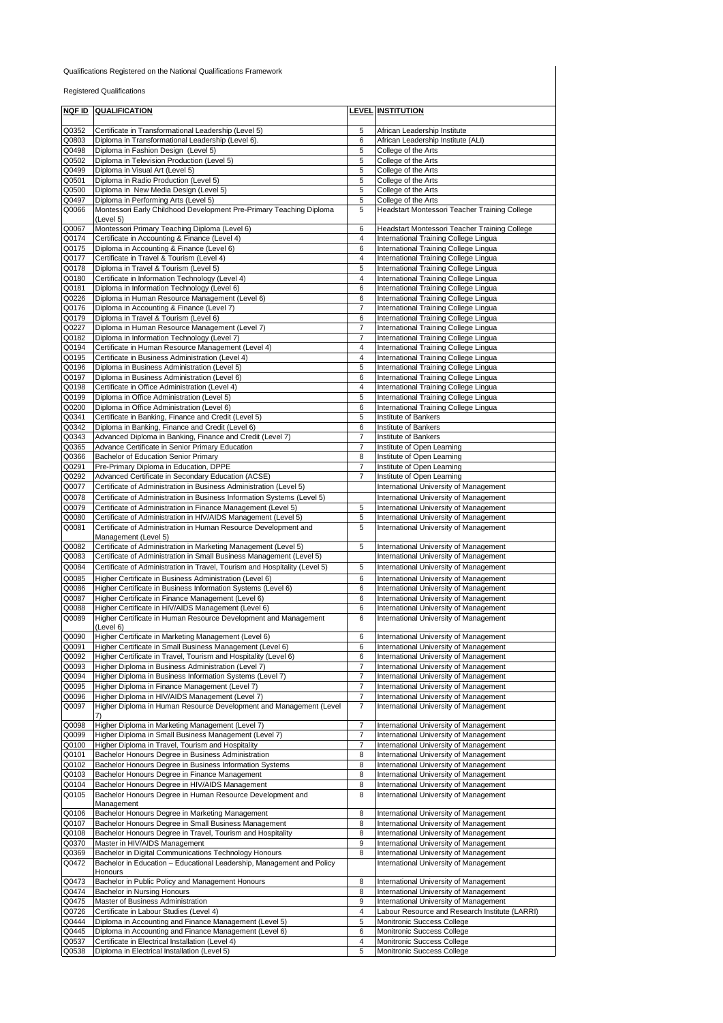## Qualifications Registered on the National Qualifications Framework

Registered Qualifications

|                | <b>NOF ID QUALIFICATION</b>                                                | LEVEL          | <b>INSTITUTION</b>                             |
|----------------|----------------------------------------------------------------------------|----------------|------------------------------------------------|
|                |                                                                            |                |                                                |
| Q0352          | Certificate in Transformational Leadership (Level 5)                       | 5              | African Leadership Institute                   |
| Q0803          | Diploma in Transformational Leadership (Level 6).                          | 6              | African Leadership Institute (ALI)             |
| Q0498          | Diploma in Fashion Design (Level 5)                                        | 5              | College of the Arts                            |
| Q0502          | Diploma in Television Production (Level 5)                                 | 5              | College of the Arts                            |
| Q0499          | Diploma in Visual Art (Level 5)                                            | 5              | College of the Arts                            |
| Q0501          | Diploma in Radio Production (Level 5)                                      | 5              | College of the Arts                            |
| Q0500          | Diploma in New Media Design (Level 5)                                      | 5              | College of the Arts                            |
| Q0497          | Diploma in Performing Arts (Level 5)                                       | 5              | College of the Arts                            |
| Q0066          | Montessori Early Childhood Development Pre-Primary Teaching Diploma        | 5              | Headstart Montessori Teacher Training College  |
|                | (Level 5)                                                                  |                |                                                |
| Q0067          | Montessori Primary Teaching Diploma (Level 6)                              | 6              | Headstart Montessori Teacher Training College  |
| Q0174          | Certificate in Accounting & Finance (Level 4)                              | 4              | International Training College Lingua          |
| Q0175          | Diploma in Accounting & Finance (Level 6)                                  | 6              | International Training College Lingua          |
| Q0177          | Certificate in Travel & Tourism (Level 4)                                  | 4              | International Training College Lingua          |
| Q0178          | Diploma in Travel & Tourism (Level 5)                                      | 5              | International Training College Lingua          |
| Q0180          | Certificate in Information Technology (Level 4)                            | 4              | International Training College Lingua          |
| Q0181          | Diploma in Information Technology (Level 6)                                | 6              | International Training College Lingua          |
| Q0226          | Diploma in Human Resource Management (Level 6)                             | 6              | International Training College Lingua          |
| Q0176          | Diploma in Accounting & Finance (Level 7)                                  | $\overline{7}$ | International Training College Lingua          |
| Q0179          | Diploma in Travel & Tourism (Level 6)                                      | 6              | International Training College Lingua          |
| Q0227          | Diploma in Human Resource Management (Level 7)                             | $\overline{7}$ | International Training College Lingua          |
| Q0182          | Diploma in Information Technology (Level 7)                                | 7              | International Training College Lingua          |
| Q0194          | Certificate in Human Resource Management (Level 4)                         | 4              | International Training College Lingua          |
| Q0195          | Certificate in Business Administration (Level 4)                           | $\overline{4}$ | International Training College Lingua          |
| Q0196          | Diploma in Business Administration (Level 5)                               | 5              | International Training College Lingua          |
| Q0197          | Diploma in Business Administration (Level 6)                               | 6              | International Training College Lingua          |
| Q0198          | Certificate in Office Administration (Level 4)                             | 4              | International Training College Lingua          |
| Q0199          | Diploma in Office Administration (Level 5)                                 | 5              | International Training College Lingua          |
| Q0200          | Diploma in Office Administration (Level 6)                                 | 6              | International Training College Lingua          |
| Q0341          | Certificate in Banking, Finance and Credit (Level 5)                       | 5              | Institute of Bankers                           |
| Q0342          | Diploma in Banking, Finance and Credit (Level 6)                           | 6              | Institute of Bankers                           |
| Q0343          | Advanced Diploma in Banking, Finance and Credit (Level 7)                  | 7              | Institute of Bankers                           |
| Q0365          | Advance Certificate in Senior Primary Education                            | $\overline{7}$ | Institute of Open Learning                     |
| Q0366          | Bachelor of Education Senior Primary                                       | 8              | Institute of Open Learning                     |
| Q0291          | Pre-Primary Diploma in Education, DPPE                                     | 7              | Institute of Open Learning                     |
| Q0292          | Advanced Certificate in Secondary Education (ACSE)                         | 7              | Institute of Open Learning                     |
| Q0077          | Certificate of Administration in Business Administration (Level 5)         |                | International University of Management         |
| Q0078          | Certificate of Administration in Business Information Systems (Level 5)    |                | International University of Management         |
| Q0079          | Certificate of Administration in Finance Management (Level 5)              | 5              | International University of Management         |
| Q0080          | Certificate of Administration in HIV/AIDS Management (Level 5)             | 5              | International University of Management         |
| Q0081          | Certificate of Administration in Human Resource Development and            | 5              | International University of Management         |
|                | Management (Level 5)                                                       |                |                                                |
| Q0082          | Certificate of Administration in Marketing Management (Level 5)            | 5              | International University of Management         |
| Q0083          | Certificate of Administration in Small Business Management (Level 5)       |                | International University of Management         |
| Q0084          | Certificate of Administration in Travel, Tourism and Hospitality (Level 5) | 5              | International University of Management         |
| Q0085          | Higher Certificate in Business Administration (Level 6)                    | 6              | International University of Management         |
| Q0086          | Higher Certificate in Business Information Systems (Level 6)               | 6              | International University of Management         |
| Q0087          | Higher Certificate in Finance Management (Level 6)                         | 6              | International University of Management         |
| Q0088          | Higher Certificate in HIV/AIDS Management (Level 6)                        | 6              | International University of Management         |
| Q0089          | Higher Certificate in Human Resource Development and Management            | 6              | International University of Management         |
|                | (Level 6)                                                                  |                |                                                |
| Q0090          | Higher Certificate in Marketing Management (Level 6)                       | 6              | International University of Management         |
| Q0091          | Higher Certificate in Small Business Management (Level 6)                  | 6              | International University of Management         |
| Q0092          | Higher Certificate in Travel, Tourism and Hospitality (Level 6)            | 6              | International University of Management         |
| Q0093          | Higher Diploma in Business Administration (Level 7)                        | $\overline{7}$ | International University of Management         |
| Q0094          | Higher Diploma in Business Information Systems (Level 7)                   | 7              | International University of Management         |
| Q0095          | Higher Diploma in Finance Management (Level 7)                             | $\overline{7}$ | International University of Management         |
| Q0096<br>Q0097 | Higher Diploma in HIV/AIDS Management (Level 7)                            | 7<br>7         | International University of Management         |
|                | Higher Diploma in Human Resource Development and Management (Level         |                | International University of Management         |
| Q0098          | Higher Diploma in Marketing Management (Level 7)                           | $\overline{7}$ | International University of Management         |
| Q0099          | Higher Diploma in Small Business Management (Level 7)                      | 7              | International University of Management         |
| Q0100          | Higher Diploma in Travel, Tourism and Hospitality                          | 7              | International University of Management         |
| Q0101          | Bachelor Honours Degree in Business Administration                         | 8              | International University of Management         |
| Q0102          | Bachelor Honours Degree in Business Information Systems                    | 8              | International University of Management         |
| Q0103          | Bachelor Honours Degree in Finance Management                              | 8              | International University of Management         |
| Q0104          | Bachelor Honours Degree in HIV/AIDS Management                             | 8              | International University of Management         |
| Q0105          | Bachelor Honours Degree in Human Resource Development and                  | 8              | International University of Management         |
|                | Management                                                                 |                |                                                |
| Q0106          | Bachelor Honours Degree in Marketing Management                            | 8              | International University of Management         |
| Q0107          | Bachelor Honours Degree in Small Business Management                       | 8              | International University of Management         |
| Q0108          | Bachelor Honours Degree in Travel, Tourism and Hospitality                 | 8              | International University of Management         |
| Q0370          | Master in HIV/AIDS Management                                              | 9              | International University of Management         |
| Q0369          | Bachelor in Digital Communications Technology Honours                      | 8              | International University of Management         |
| Q0472          | Bachelor in Education - Educational Leadership, Management and Policy      |                | International University of Management         |
|                | Honours                                                                    |                |                                                |
| Q0473          | Bachelor in Public Policy and Management Honours                           | 8              | International University of Management         |
| Q0474          | <b>Bachelor in Nursing Honours</b>                                         | 8              | International University of Management         |
| Q0475          | Master of Business Administration                                          | 9              | International University of Management         |
| Q0726          | Certificate in Labour Studies (Level 4)                                    | 4              | Labour Resource and Research Institute (LARRI) |
| Q0444          | Diploma in Accounting and Finance Management (Level 5)                     | 5              | Monitronic Success College                     |
| Q0445          | Diploma in Accounting and Finance Management (Level 6)                     | 6              | Monitronic Success College                     |
| Q0537          | Certificate in Electrical Installation (Level 4)                           | 4              | Monitronic Success College                     |
| Q0538          | Diploma in Electrical Installation (Level 5)                               | 5              | Monitronic Success College                     |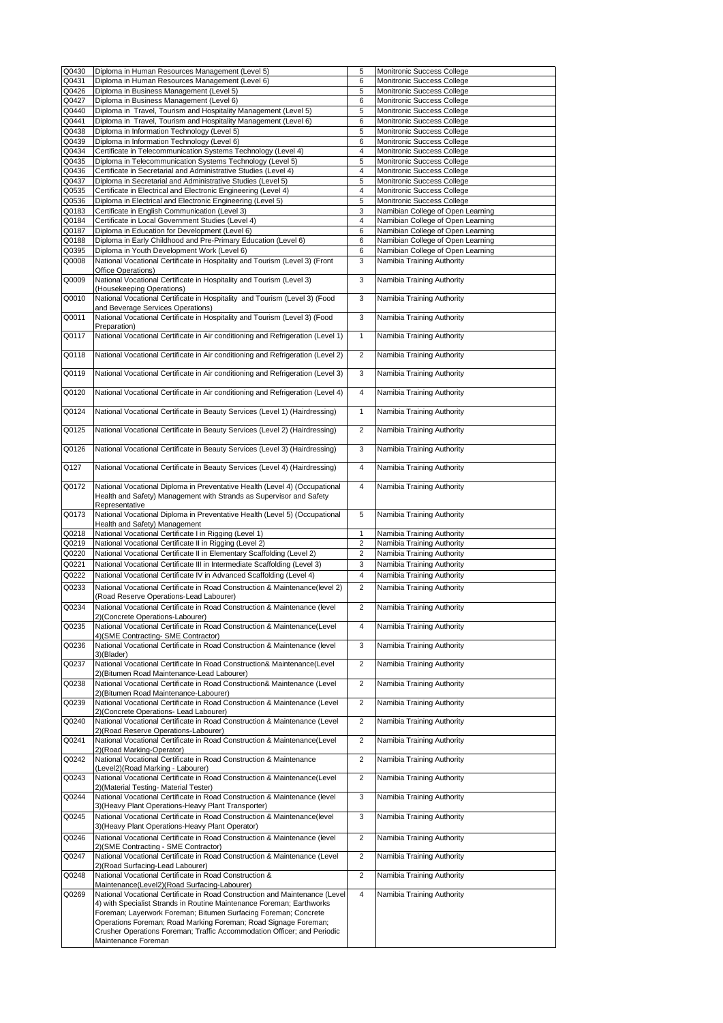| Q0430 | Diploma in Human Resources Management (Level 5)                                                                        | 5              | Monitronic Success College        |
|-------|------------------------------------------------------------------------------------------------------------------------|----------------|-----------------------------------|
| Q0431 | Diploma in Human Resources Management (Level 6)                                                                        | 6              | Monitronic Success College        |
| Q0426 | Diploma in Business Management (Level 5)                                                                               | 5              | Monitronic Success College        |
| Q0427 | Diploma in Business Management (Level 6)                                                                               | 6              | Monitronic Success College        |
| Q0440 | Diploma in Travel, Tourism and Hospitality Management (Level 5)                                                        | 5              | Monitronic Success College        |
| Q0441 | Diploma in Travel, Tourism and Hospitality Management (Level 6)                                                        | 6              | Monitronic Success College        |
| Q0438 | Diploma in Information Technology (Level 5)                                                                            | 5              | Monitronic Success College        |
| Q0439 | Diploma in Information Technology (Level 6)                                                                            | 6              | Monitronic Success College        |
| Q0434 | Certificate in Telecommunication Systems Technology (Level 4)                                                          | 4              | Monitronic Success College        |
| Q0435 | Diploma in Telecommunication Systems Technology (Level 5)                                                              | 5              | Monitronic Success College        |
| Q0436 | Certificate in Secretarial and Administrative Studies (Level 4)                                                        | 4              | Monitronic Success College        |
| Q0437 | Diploma in Secretarial and Administrative Studies (Level 5)                                                            | 5              | Monitronic Success College        |
| Q0535 | Certificate in Electrical and Electronic Engineering (Level 4)                                                         | 4              | Monitronic Success College        |
| Q0536 | Diploma in Electrical and Electronic Engineering (Level 5)                                                             | 5              | Monitronic Success College        |
| Q0183 | Certificate in English Communication (Level 3)                                                                         | 3              | Namibian College of Open Learning |
| Q0184 | Certificate in Local Government Studies (Level 4)                                                                      | 4              | Namibian College of Open Learning |
| Q0187 | Diploma in Education for Development (Level 6)                                                                         | 6              | Namibian College of Open Learning |
| Q0188 | Diploma in Early Childhood and Pre-Primary Education (Level 6)                                                         | 6              | Namibian College of Open Learning |
| Q0395 | Diploma in Youth Development Work (Level 6)                                                                            | 6              | Namibian College of Open Learning |
| Q0008 | National Vocational Certificate in Hospitality and Tourism (Level 3) (Front                                            | 3              | Namibia Training Authority        |
|       | Office Operations)                                                                                                     |                |                                   |
| Q0009 | National Vocational Certificate in Hospitality and Tourism (Level 3)                                                   | 3              | Namibia Training Authority        |
|       | (Housekeeping Operations)                                                                                              |                |                                   |
| Q0010 | National Vocational Certificate in Hospitality and Tourism (Level 3) (Food                                             | 3              | Namibia Training Authority        |
|       | and Beverage Services Operations)                                                                                      | 3              |                                   |
| Q0011 | National Vocational Certificate in Hospitality and Tourism (Level 3) (Food<br>Preparation)                             |                | Namibia Training Authority        |
|       |                                                                                                                        | $\mathbf{1}$   | Namibia Training Authority        |
| Q0117 | National Vocational Certificate in Air conditioning and Refrigeration (Level 1)                                        |                |                                   |
| Q0118 | National Vocational Certificate in Air conditioning and Refrigeration (Level 2)                                        | $\overline{2}$ | Namibia Training Authority        |
|       |                                                                                                                        |                |                                   |
| Q0119 | National Vocational Certificate in Air conditioning and Refrigeration (Level 3)                                        | 3              | Namibia Training Authority        |
|       |                                                                                                                        |                |                                   |
| Q0120 | National Vocational Certificate in Air conditioning and Refrigeration (Level 4)                                        | $\overline{4}$ | Namibia Training Authority        |
|       |                                                                                                                        |                |                                   |
| Q0124 | National Vocational Certificate in Beauty Services (Level 1) (Hairdressing)                                            | $\mathbf{1}$   | Namibia Training Authority        |
|       |                                                                                                                        |                |                                   |
| Q0125 | National Vocational Certificate in Beauty Services (Level 2) (Hairdressing)                                            | $\overline{2}$ | Namibia Training Authority        |
|       |                                                                                                                        |                |                                   |
| Q0126 | National Vocational Certificate in Beauty Services (Level 3) (Hairdressing)                                            | 3              | Namibia Training Authority        |
| Q127  | National Vocational Certificate in Beauty Services (Level 4) (Hairdressing)                                            | 4              |                                   |
|       |                                                                                                                        |                | Namibia Training Authority        |
| Q0172 | National Vocational Diploma in Preventative Health (Level 4) (Occupational                                             | 4              | Namibia Training Authority        |
|       | Health and Safety) Management with Strands as Supervisor and Safety                                                    |                |                                   |
|       | Representative                                                                                                         |                |                                   |
|       |                                                                                                                        |                |                                   |
| Q0173 | National Vocational Diploma in Preventative Health (Level 5) (Occupational                                             | 5              | Namibia Training Authority        |
|       | Health and Safety) Management                                                                                          |                |                                   |
| Q0218 | National Vocational Certificate I in Rigging (Level 1)                                                                 | 1              | Namibia Training Authority        |
| Q0219 | National Vocational Certificate II in Rigging (Level 2)                                                                | $\overline{2}$ | Namibia Training Authority        |
| Q0220 | National Vocational Certificate II in Elementary Scaffolding (Level 2)                                                 | 2              | Namibia Training Authority        |
| Q0221 | National Vocational Certificate III in Intermediate Scaffolding (Level 3)                                              | 3              | Namibia Training Authority        |
| Q0222 | National Vocational Certificate IV in Advanced Scaffolding (Level 4)                                                   | 4              | Namibia Training Authority        |
| Q0233 |                                                                                                                        | $\overline{2}$ |                                   |
|       | National Vocational Certificate in Road Construction & Maintenance(level 2)<br>(Road Reserve Operations-Lead Labourer) |                | Namibia Training Authority        |
|       |                                                                                                                        |                |                                   |
| Q0234 | National Vocational Certificate in Road Construction & Maintenance (level<br>2) (Concrete Operations-Labourer)         | $\overline{2}$ | Namibia Training Authority        |
| Q0235 | National Vocational Certificate in Road Construction & Maintenance(Level                                               | 4              | Namibia Training Authority        |
|       | 4) (SME Contracting-SME Contractor)                                                                                    |                |                                   |
| Q0236 | National Vocational Certificate in Road Construction & Maintenance (level                                              | 3              | Namibia Training Authority        |
|       | 3)(Blader)                                                                                                             |                |                                   |
| Q0237 | National Vocational Certificate In Road Construction& Maintenance(Level                                                | $\overline{2}$ | Namibia Training Authority        |
|       | 2) (Bitumen Road Maintenance-Lead Labourer)                                                                            |                |                                   |
| Q0238 | National Vocational Certificate in Road Construction& Maintenance (Level                                               | $\overline{2}$ | Namibia Training Authority        |
|       | 2) (Bitumen Road Maintenance-Labourer)                                                                                 |                |                                   |
| Q0239 | National Vocational Certificate in Road Construction & Maintenance (Level                                              | $\overline{c}$ | Namibia Training Authority        |
|       | 2) (Concrete Operations- Lead Labourer)                                                                                |                |                                   |
| Q0240 | National Vocational Certificate in Road Construction & Maintenance (Level                                              | $\overline{2}$ | Namibia Training Authority        |
| Q0241 | 2) (Road Reserve Operations-Labourer)<br>National Vocational Certificate in Road Construction & Maintenance(Level      | $\overline{2}$ | Namibia Training Authority        |
|       | 2) (Road Marking-Operator)                                                                                             |                |                                   |
| Q0242 | National Vocational Certificate in Road Construction & Maintenance                                                     | $\overline{2}$ | Namibia Training Authority        |
|       | (Level2)(Road Marking - Labourer)                                                                                      |                |                                   |
| Q0243 | National Vocational Certificate in Road Construction & Maintenance(Level                                               | $\overline{2}$ | Namibia Training Authority        |
|       | 2) (Material Testing- Material Tester)                                                                                 |                |                                   |
| Q0244 | National Vocational Certificate in Road Construction & Maintenance (level                                              | 3              | Namibia Training Authority        |
|       | 3) (Heavy Plant Operations-Heavy Plant Transporter)                                                                    |                |                                   |
| Q0245 | National Vocational Certificate in Road Construction & Maintenance(level                                               | 3              | Namibia Training Authority        |
|       | 3) (Heavy Plant Operations-Heavy Plant Operator)                                                                       |                |                                   |
| Q0246 | National Vocational Certificate in Road Construction & Maintenance (level                                              | $\overline{2}$ | Namibia Training Authority        |
|       | 2) (SME Contracting - SME Contractor)                                                                                  |                |                                   |
| Q0247 | National Vocational Certificate in Road Construction & Maintenance (Level                                              | $\overline{2}$ | Namibia Training Authority        |
|       | 2)(Road Surfacing-Lead Labourer)                                                                                       |                |                                   |
| Q0248 | National Vocational Certificate in Road Construction &<br>Maintenance(Level2)(Road Surfacing-Labourer)                 | $\overline{2}$ | Namibia Training Authority        |
| Q0269 | National Vocational Certificate in Road Construction and Maintenance (Level                                            | 4              | Namibia Training Authority        |
|       | 4) with Specialist Strands in Routine Maintenance Foreman; Earthworks                                                  |                |                                   |
|       | Foreman; Layerwork Foreman; Bitumen Surfacing Foreman; Concrete                                                        |                |                                   |
|       | Operations Foreman; Road Marking Foreman; Road Signage Foreman;                                                        |                |                                   |
|       | Crusher Operations Foreman; Traffic Accommodation Officer; and Periodic<br>Maintenance Foreman                         |                |                                   |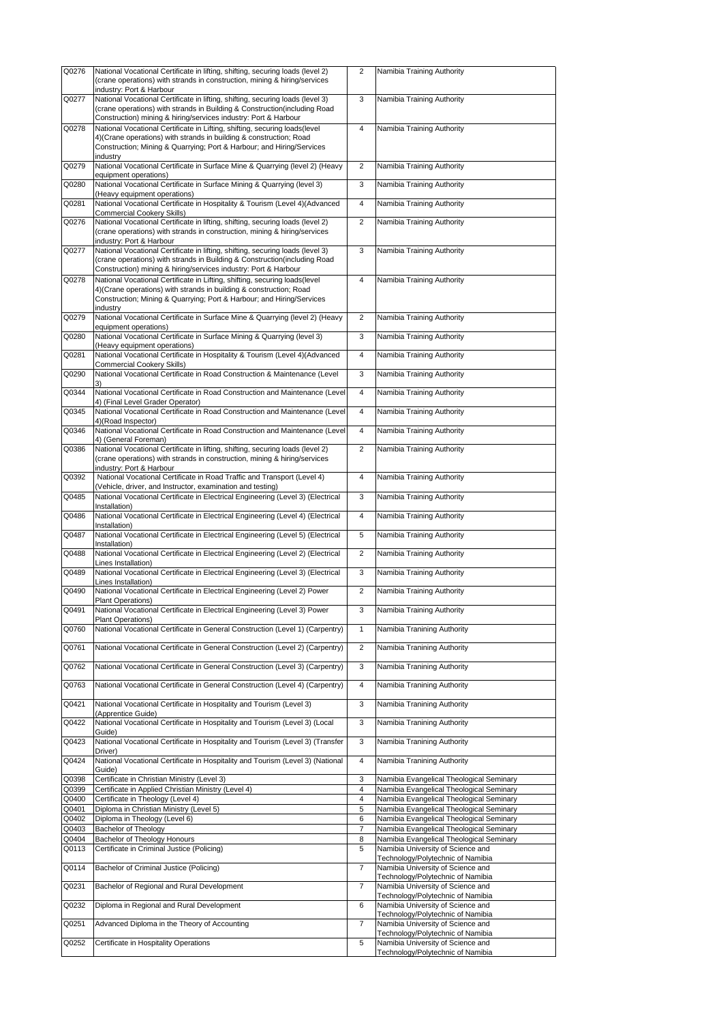| Q0276          | National Vocational Certificate in lifting, shifting, securing loads (level 2)<br>(crane operations) with strands in construction, mining & hiring/services                                                                                                | $\overline{2}$ | Namibia Training Authority                                                           |
|----------------|------------------------------------------------------------------------------------------------------------------------------------------------------------------------------------------------------------------------------------------------------------|----------------|--------------------------------------------------------------------------------------|
|                | industry: Port & Harbour                                                                                                                                                                                                                                   |                |                                                                                      |
| Q0277          | National Vocational Certificate in lifting, shifting, securing loads (level 3)<br>(crane operations) with strands in Building & Construction(including Road<br>Construction) mining & hiring/services industry: Port & Harbour                             | 3              | Namibia Training Authority                                                           |
| Q0278          | National Vocational Certificate in Lifting, shifting, securing loads(level<br>4) (Crane operations) with strands in building & construction; Road<br>Construction; Mining & Quarrying; Port & Harbour; and Hiring/Services                                 | $\overline{4}$ | Namibia Training Authority                                                           |
| Q0279          | industry<br>National Vocational Certificate in Surface Mine & Quarrying (level 2) (Heavy                                                                                                                                                                   | $\overline{2}$ | Namibia Training Authority                                                           |
| Q0280          | equipment operations)<br>National Vocational Certificate in Surface Mining & Quarrying (level 3)                                                                                                                                                           | 3              | Namibia Training Authority                                                           |
| Q0281          | (Heavy equipment operations)<br>National Vocational Certificate in Hospitality & Tourism (Level 4)(Advanced<br><b>Commercial Cookery Skills)</b>                                                                                                           | 4              | Namibia Training Authority                                                           |
| Q0276          | National Vocational Certificate in lifting, shifting, securing loads (level 2)<br>(crane operations) with strands in construction, mining & hiring/services                                                                                                | $\overline{2}$ | Namibia Training Authority                                                           |
| Q0277          | industry: Port & Harbour<br>National Vocational Certificate in lifting, shifting, securing loads (level 3)<br>(crane operations) with strands in Building & Construction(including Road<br>Construction) mining & hiring/services industry: Port & Harbour | 3              | Namibia Training Authority                                                           |
| Q0278          | National Vocational Certificate in Lifting, shifting, securing loads(level<br>4) (Crane operations) with strands in building & construction; Road<br>Construction; Mining & Quarrying; Port & Harbour; and Hiring/Services<br>industry                     | 4              | Namibia Training Authority                                                           |
| Q0279          | National Vocational Certificate in Surface Mine & Quarrying (level 2) (Heavy<br>equipment operations)                                                                                                                                                      | 2              | Namibia Training Authority                                                           |
| Q0280          | National Vocational Certificate in Surface Mining & Quarrying (level 3)<br>(Heavy equipment operations)                                                                                                                                                    | 3              | Namibia Training Authority                                                           |
| Q0281          | National Vocational Certificate in Hospitality & Tourism (Level 4)(Advanced<br>Commercial Cookery Skills)                                                                                                                                                  | 4              | Namibia Training Authority                                                           |
| Q0290          | National Vocational Certificate in Road Construction & Maintenance (Level                                                                                                                                                                                  | 3              | Namibia Training Authority                                                           |
| Q0344          | National Vocational Certificate in Road Construction and Maintenance (Level<br>4) (Final Level Grader Operator)                                                                                                                                            | 4              | Namibia Training Authority                                                           |
| Q0345          | National Vocational Certificate in Road Construction and Maintenance (Level<br>4)(Road Inspector)                                                                                                                                                          | $\overline{4}$ | Namibia Training Authority                                                           |
| Q0346          | National Vocational Certificate in Road Construction and Maintenance (Level<br>4) (General Foreman)                                                                                                                                                        | 4              | Namibia Training Authority                                                           |
| Q0386          | National Vocational Certificate in lifting, shifting, securing loads (level 2)<br>(crane operations) with strands in construction, mining & hiring/services<br>industry: Port & Harbour                                                                    | $\overline{2}$ | Namibia Training Authority                                                           |
| Q0392          | National Vocational Certificate in Road Traffic and Transport (Level 4)<br>(Vehicle, driver, and Instructor, examination and testing)                                                                                                                      | $\overline{4}$ | Namibia Training Authority                                                           |
| Q0485          | National Vocational Certificate in Electrical Engineering (Level 3) (Electrical<br>Installation)                                                                                                                                                           | 3              | Namibia Training Authority                                                           |
| Q0486          | National Vocational Certificate in Electrical Engineering (Level 4) (Electrical<br>Installation)                                                                                                                                                           | 4              | Namibia Training Authority                                                           |
| Q0487          | National Vocational Certificate in Electrical Engineering (Level 5) (Electrical<br>Installation)                                                                                                                                                           | 5              | Namibia Training Authority                                                           |
| Q0488          | National Vocational Certificate in Electrical Engineering (Level 2) (Electrical<br>Lines Installation)                                                                                                                                                     | $\overline{2}$ | Namibia Training Authority                                                           |
| Q0489          | National Vocational Certificate in Electrical Engineering (Level 3) (Electrical<br>Lines Installation)                                                                                                                                                     | 3              | Namibia Training Authority                                                           |
| Q0490          | National Vocational Certificate in Electrical Engineering (Level 2) Power<br>Plant Operations)                                                                                                                                                             | $\overline{2}$ | Namibia Training Authority                                                           |
| Q0491          | National Vocational Certificate in Electrical Engineering (Level 3) Power<br><b>Plant Operations)</b>                                                                                                                                                      |                | Namibia Training Authority                                                           |
| Q0760          | National Vocational Certificate in General Construction (Level 1) (Carpentry)                                                                                                                                                                              | 1              | Namibia Tranining Authority                                                          |
| Q0761          | National Vocational Certificate in General Construction (Level 2) (Carpentry)                                                                                                                                                                              | $\overline{2}$ | Namibia Tranining Authority                                                          |
| Q0762          | National Vocational Certificate in General Construction (Level 3) (Carpentry)                                                                                                                                                                              | 3              | Namibia Tranining Authority                                                          |
| Q0763          | National Vocational Certificate in General Construction (Level 4) (Carpentry)                                                                                                                                                                              | 4              | Namibia Tranining Authority                                                          |
| Q0421          | National Vocational Certificate in Hospitality and Tourism (Level 3)<br>(Apprentice Guide)                                                                                                                                                                 | 3              | Namibia Tranining Authority                                                          |
| Q0422          | National Vocational Certificate in Hospitality and Tourism (Level 3) (Local<br>Guide)                                                                                                                                                                      | 3              | Namibia Tranining Authority                                                          |
| Q0423          | National Vocational Certificate in Hospitality and Tourism (Level 3) (Transfer<br>Driver)                                                                                                                                                                  | 3              | Namibia Tranining Authority                                                          |
| Q0424          | National Vocational Certificate in Hospitality and Tourism (Level 3) (National<br>Guide)                                                                                                                                                                   | $\overline{4}$ | Namibia Tranining Authority                                                          |
| Q0398<br>Q0399 | Certificate in Christian Ministry (Level 3)<br>Certificate in Applied Christian Ministry (Level 4)                                                                                                                                                         | 3<br>4         | Namibia Evangelical Theological Seminary<br>Namibia Evangelical Theological Seminary |
| Q0400          | Certificate in Theology (Level 4)                                                                                                                                                                                                                          | 4              | Namibia Evangelical Theological Seminary                                             |
| Q0401          | Diploma in Christian Ministry (Level 5)                                                                                                                                                                                                                    | 5              | Namibia Evangelical Theological Seminary                                             |
| Q0402          | Diploma in Theology (Level 6)                                                                                                                                                                                                                              | 6              | Namibia Evangelical Theological Seminary                                             |
| Q0403          | Bachelor of Theology                                                                                                                                                                                                                                       | 7              | Namibia Evangelical Theological Seminary                                             |
| Q0404          | Bachelor of Theology Honours                                                                                                                                                                                                                               | 8              | Namibia Evangelical Theological Seminary                                             |
| Q0113          | Certificate in Criminal Justice (Policing)                                                                                                                                                                                                                 | 5              | Namibia University of Science and<br>Technology/Polytechnic of Namibia               |
| Q0114          | Bachelor of Criminal Justice (Policing)                                                                                                                                                                                                                    | 7              | Namibia University of Science and<br>Technology/Polytechnic of Namibia               |
| Q0231          | Bachelor of Regional and Rural Development                                                                                                                                                                                                                 | $\overline{7}$ | Namibia University of Science and<br>Technology/Polytechnic of Namibia               |
| Q0232          | Diploma in Regional and Rural Development                                                                                                                                                                                                                  | 6              | Namibia University of Science and<br>Technology/Polytechnic of Namibia               |
| Q0251          | Advanced Diploma in the Theory of Accounting                                                                                                                                                                                                               | 7              | Namibia University of Science and<br>Technology/Polytechnic of Namibia               |
| Q0252          | Certificate in Hospitality Operations                                                                                                                                                                                                                      | 5              | Namibia University of Science and<br>Technology/Polytechnic of Namibia               |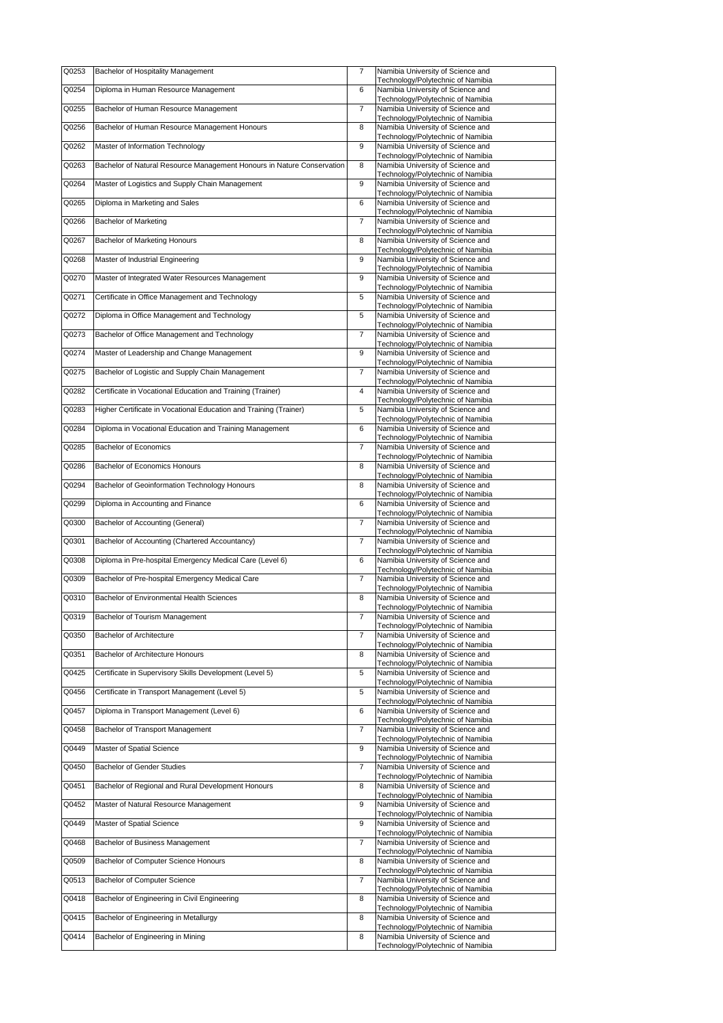| Q0253 | Bachelor of Hospitality Management                                     | $\overline{7}$ | Namibia University of Science and<br>Technology/Polytechnic of Namibia |
|-------|------------------------------------------------------------------------|----------------|------------------------------------------------------------------------|
| Q0254 | Diploma in Human Resource Management                                   | 6              | Namibia University of Science and                                      |
| Q0255 | Bachelor of Human Resource Management                                  | $\overline{7}$ | Technology/Polytechnic of Namibia<br>Namibia University of Science and |
| Q0256 | Bachelor of Human Resource Management Honours                          | 8              | Technology/Polytechnic of Namibia<br>Namibia University of Science and |
|       |                                                                        |                | Technology/Polytechnic of Namibia                                      |
| Q0262 | Master of Information Technology                                       | 9              | Namibia University of Science and<br>Technology/Polytechnic of Namibia |
| Q0263 | Bachelor of Natural Resource Management Honours in Nature Conservation | 8              | Namibia University of Science and<br>Technology/Polytechnic of Namibia |
| Q0264 | Master of Logistics and Supply Chain Management                        | 9              | Namibia University of Science and                                      |
| Q0265 | Diploma in Marketing and Sales                                         | 6              | Technology/Polytechnic of Namibia<br>Namibia University of Science and |
| Q0266 | <b>Bachelor of Marketing</b>                                           | $\overline{7}$ | Technology/Polytechnic of Namibia<br>Namibia University of Science and |
| Q0267 | Bachelor of Marketing Honours                                          | 8              | Technology/Polytechnic of Namibia<br>Namibia University of Science and |
|       |                                                                        |                | Technology/Polytechnic of Namibia                                      |
| Q0268 | Master of Industrial Engineering                                       | 9              | Namibia University of Science and<br>Technology/Polytechnic of Namibia |
| Q0270 | Master of Integrated Water Resources Management                        | 9              | Namibia University of Science and<br>Technology/Polytechnic of Namibia |
| Q0271 | Certificate in Office Management and Technology                        | 5              | Namibia University of Science and                                      |
| Q0272 | Diploma in Office Management and Technology                            | 5              | Technology/Polytechnic of Namibia<br>Namibia University of Science and |
| Q0273 | Bachelor of Office Management and Technology                           | $\overline{7}$ | Technology/Polytechnic of Namibia<br>Namibia University of Science and |
| Q0274 | Master of Leadership and Change Management                             | 9              | Technology/Polytechnic of Namibia<br>Namibia University of Science and |
|       |                                                                        |                | Technology/Polytechnic of Namibia                                      |
| Q0275 | Bachelor of Logistic and Supply Chain Management                       | 7              | Namibia University of Science and<br>Technology/Polytechnic of Namibia |
| Q0282 | Certificate in Vocational Education and Training (Trainer)             | $\overline{4}$ | Namibia University of Science and<br>Technology/Polytechnic of Namibia |
| Q0283 | Higher Certificate in Vocational Education and Training (Trainer)      | 5              | Namibia University of Science and<br>Technology/Polytechnic of Namibia |
| Q0284 | Diploma in Vocational Education and Training Management                | 6              | Namibia University of Science and                                      |
| Q0285 | <b>Bachelor of Economics</b>                                           | $\overline{7}$ | Technology/Polytechnic of Namibia<br>Namibia University of Science and |
| Q0286 | Bachelor of Economics Honours                                          | 8              | Technology/Polytechnic of Namibia<br>Namibia University of Science and |
|       |                                                                        |                | Technology/Polytechnic of Namibia                                      |
| Q0294 | Bachelor of Geoinformation Technology Honours                          | 8              | Namibia University of Science and<br>Technology/Polytechnic of Namibia |
| Q0299 | Diploma in Accounting and Finance                                      | 6              | Namibia University of Science and<br>Technology/Polytechnic of Namibia |
| Q0300 | Bachelor of Accounting (General)                                       | $\overline{7}$ | Namibia University of Science and<br>Technology/Polytechnic of Namibia |
| Q0301 | Bachelor of Accounting (Chartered Accountancy)                         | $\overline{7}$ | Namibia University of Science and                                      |
| Q0308 | Diploma in Pre-hospital Emergency Medical Care (Level 6)               | 6              | Technology/Polytechnic of Namibia<br>Namibia University of Science and |
| Q0309 | Bachelor of Pre-hospital Emergency Medical Care                        | 7              | Technology/Polytechnic of Namibia<br>Namibia University of Science and |
| Q0310 | Bachelor of Environmental Health Sciences                              | 8              | Technology/Polytechnic of Namibia<br>Namibia University of Science and |
|       |                                                                        |                | Technology/Polytechnic of Namibia                                      |
| Q0319 | Bachelor of Tourism Management                                         | $\overline{7}$ | Namibia University of Science and<br>Technology/Polytechnic of Namibia |
| Q0350 | Bachelor of Architecture                                               | $\overline{7}$ | Namibia University of Science and<br>Technology/Polytechnic of Namibia |
| Q0351 | Bachelor of Architecture Honours                                       | 8              | Namibia University of Science and                                      |
| Q0425 | Certificate in Supervisory Skills Development (Level 5)                | 5              | Technology/Polytechnic of Namibia<br>Namibia University of Science and |
| Q0456 | Certificate in Transport Management (Level 5)                          | 5              | Technology/Polytechnic of Namibia<br>Namibia University of Science and |
| Q0457 | Diploma in Transport Management (Level 6)                              | 6              | Technology/Polytechnic of Namibia<br>Namibia University of Science and |
|       |                                                                        |                | Technology/Polytechnic of Namibia<br>Namibia University of Science and |
| Q0458 | Bachelor of Transport Management                                       | $\overline{7}$ | Technology/Polytechnic of Namibia                                      |
| Q0449 | Master of Spatial Science                                              | 9              | Namibia University of Science and<br>Technology/Polytechnic of Namibia |
| Q0450 | <b>Bachelor of Gender Studies</b>                                      | $\overline{7}$ | Namibia University of Science and<br>Technology/Polytechnic of Namibia |
| Q0451 | Bachelor of Regional and Rural Development Honours                     | 8              | Namibia University of Science and                                      |
| Q0452 | Master of Natural Resource Management                                  | 9              | Technology/Polytechnic of Namibia<br>Namibia University of Science and |
| Q0449 | Master of Spatial Science                                              | 9              | Technology/Polytechnic of Namibia<br>Namibia University of Science and |
| Q0468 | Bachelor of Business Management                                        | $\overline{7}$ | Technology/Polytechnic of Namibia<br>Namibia University of Science and |
|       |                                                                        |                | Technology/Polytechnic of Namibia                                      |
| Q0509 | Bachelor of Computer Science Honours                                   | 8              | Namibia University of Science and<br>Technology/Polytechnic of Namibia |
| Q0513 | Bachelor of Computer Science                                           | $\overline{7}$ | Namibia University of Science and<br>Technology/Polytechnic of Namibia |
| Q0418 | Bachelor of Engineering in Civil Engineering                           | 8              | Namibia University of Science and<br>Technology/Polytechnic of Namibia |
| Q0415 | Bachelor of Engineering in Metallurgy                                  | 8              | Namibia University of Science and                                      |
| Q0414 | Bachelor of Engineering in Mining                                      | 8              | Technology/Polytechnic of Namibia<br>Namibia University of Science and |
|       |                                                                        |                | Technology/Polytechnic of Namibia                                      |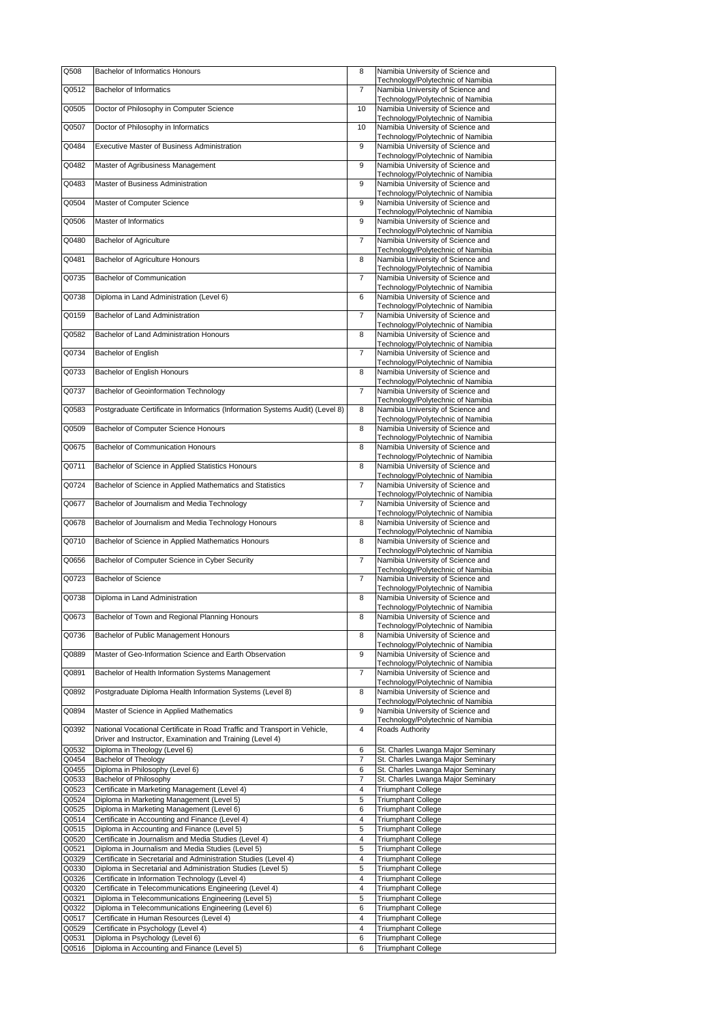| Q508           | <b>Bachelor of Informatics Honours</b>                                                                     | 8                                | Namibia University of Science and                                      |
|----------------|------------------------------------------------------------------------------------------------------------|----------------------------------|------------------------------------------------------------------------|
| Q0512          | <b>Bachelor of Informatics</b>                                                                             | $\overline{7}$                   | Technology/Polytechnic of Namibia<br>Namibia University of Science and |
| Q0505          | Doctor of Philosophy in Computer Science                                                                   | 10                               | Technology/Polytechnic of Namibia<br>Namibia University of Science and |
|                |                                                                                                            |                                  | Technology/Polytechnic of Namibia                                      |
| Q0507          | Doctor of Philosophy in Informatics                                                                        | 10                               | Namibia University of Science and<br>Technology/Polytechnic of Namibia |
| Q0484          | <b>Executive Master of Business Administration</b>                                                         | 9                                | Namibia University of Science and                                      |
| Q0482          | Master of Agribusiness Management                                                                          | 9                                | Technology/Polytechnic of Namibia<br>Namibia University of Science and |
| Q0483          |                                                                                                            |                                  | Technology/Polytechnic of Namibia                                      |
|                | Master of Business Administration                                                                          | 9                                | Namibia University of Science and<br>Technology/Polytechnic of Namibia |
| Q0504          | Master of Computer Science                                                                                 | 9                                | Namibia University of Science and<br>Technology/Polytechnic of Namibia |
| Q0506          | Master of Informatics                                                                                      | 9                                | Namibia University of Science and                                      |
| Q0480          | <b>Bachelor of Agriculture</b>                                                                             | $\overline{7}$                   | Technology/Polytechnic of Namibia<br>Namibia University of Science and |
| Q0481          | Bachelor of Agriculture Honours                                                                            | 8                                | Technology/Polytechnic of Namibia<br>Namibia University of Science and |
|                |                                                                                                            |                                  | Technology/Polytechnic of Namibia                                      |
| Q0735          | Bachelor of Communication                                                                                  | $\overline{7}$                   | Namibia University of Science and<br>Technology/Polytechnic of Namibia |
| Q0738          | Diploma in Land Administration (Level 6)                                                                   | 6                                | Namibia University of Science and                                      |
| Q0159          | Bachelor of Land Administration                                                                            | $\overline{7}$                   | Technology/Polytechnic of Namibia<br>Namibia University of Science and |
| Q0582          | Bachelor of Land Administration Honours                                                                    | 8                                | Technology/Polytechnic of Namibia<br>Namibia University of Science and |
|                |                                                                                                            |                                  | Technology/Polytechnic of Namibia                                      |
| Q0734          | Bachelor of English                                                                                        | $\overline{7}$                   | Namibia University of Science and<br>Technology/Polytechnic of Namibia |
| Q0733          | Bachelor of English Honours                                                                                | 8                                | Namibia University of Science and                                      |
| Q0737          | Bachelor of Geoinformation Technology                                                                      | $\overline{7}$                   | Technology/Polytechnic of Namibia<br>Namibia University of Science and |
| Q0583          | Postgraduate Certificate in Informatics (Information Systems Audit) (Level 8)                              | 8                                | Technology/Polytechnic of Namibia<br>Namibia University of Science and |
|                |                                                                                                            |                                  | Technology/Polytechnic of Namibia                                      |
| Q0509          | Bachelor of Computer Science Honours                                                                       | 8                                | Namibia University of Science and<br>Technology/Polytechnic of Namibia |
| Q0675          | Bachelor of Communication Honours                                                                          | 8                                | Namibia University of Science and                                      |
| Q0711          | Bachelor of Science in Applied Statistics Honours                                                          | 8                                | Technology/Polytechnic of Namibia<br>Namibia University of Science and |
| Q0724          | Bachelor of Science in Applied Mathematics and Statistics                                                  | $\overline{7}$                   | Technology/Polytechnic of Namibia<br>Namibia University of Science and |
|                |                                                                                                            |                                  | Technology/Polytechnic of Namibia                                      |
| Q0677          | Bachelor of Journalism and Media Technology                                                                | 7                                | Namibia University of Science and<br>Technology/Polytechnic of Namibia |
| Q0678          | Bachelor of Journalism and Media Technology Honours                                                        | 8                                | Namibia University of Science and<br>Technology/Polytechnic of Namibia |
| Q0710          | Bachelor of Science in Applied Mathematics Honours                                                         | 8                                | Namibia University of Science and                                      |
| Q0656          | Bachelor of Computer Science in Cyber Security                                                             | $\overline{7}$                   | Technology/Polytechnic of Namibia<br>Namibia University of Science and |
|                |                                                                                                            |                                  | Technology/Polytechnic of Namibia                                      |
| Q0723          | Bachelor of Science                                                                                        | 7                                | Namibia University of Science and<br>Technology/Polytechnic of Namibia |
| Q0738          | Diploma in Land Administration                                                                             | 8                                | Namibia University of Science and<br>Technology/Polytechnic of Namibia |
| Q0673          | Bachelor of Town and Regional Planning Honours                                                             | 8                                | Namibia University of Science and                                      |
| Q0736          | Bachelor of Public Management Honours                                                                      | 8                                | Technology/Polytechnic of Namibia<br>Namibia University of Science and |
| Q0889          | Master of Geo-Information Science and Earth Observation                                                    | 9                                | Technology/Polytechnic of Namibia                                      |
|                |                                                                                                            |                                  | Namibia University of Science and<br>Technology/Polytechnic of Namibia |
| Q0891          | Bachelor of Health Information Systems Management                                                          | 7                                | Namibia University of Science and<br>Technology/Polytechnic of Namibia |
| Q0892          | Postgraduate Diploma Health Information Systems (Level 8)                                                  | 8                                | Namibia University of Science and                                      |
| Q0894          | Master of Science in Applied Mathematics                                                                   | 9                                | Technology/Polytechnic of Namibia<br>Namibia University of Science and |
| Q0392          | National Vocational Certificate in Road Traffic and Transport in Vehicle,                                  | 4                                | Technology/Polytechnic of Namibia<br>Roads Authority                   |
|                | Driver and Instructor, Examination and Training (Level 4)                                                  |                                  |                                                                        |
| Q0532<br>Q0454 | Diploma in Theology (Level 6)<br><b>Bachelor of Theology</b>                                               | 6<br>$\overline{7}$              | St. Charles Lwanga Major Seminary<br>St. Charles Lwanga Major Seminary |
| Q0455          | Diploma in Philosophy (Level 6)                                                                            | 6                                | St. Charles Lwanga Major Seminary                                      |
| Q0533          | Bachelor of Philosophy                                                                                     | 7                                | St. Charles Lwanga Major Seminary                                      |
| Q0523<br>Q0524 | Certificate in Marketing Management (Level 4)<br>Diploma in Marketing Management (Level 5)                 | 4<br>5                           | <b>Triumphant College</b><br><b>Triumphant College</b>                 |
| Q0525          | Diploma in Marketing Management (Level 6)                                                                  | 6                                | <b>Triumphant College</b>                                              |
| Q0514          | Certificate in Accounting and Finance (Level 4)                                                            | $\overline{4}$                   | <b>Triumphant College</b>                                              |
| Q0515<br>Q0520 | Diploma in Accounting and Finance (Level 5)<br>Certificate in Journalism and Media Studies (Level 4)       | 5<br>$\overline{4}$              | <b>Triumphant College</b><br><b>Triumphant College</b>                 |
| Q0521          | Diploma in Journalism and Media Studies (Level 5)                                                          | 5                                | <b>Triumphant College</b>                                              |
| Q0329          | Certificate in Secretarial and Administration Studies (Level 4)                                            | $\overline{4}$                   | <b>Triumphant College</b>                                              |
| Q0330          | Diploma in Secretarial and Administration Studies (Level 5)                                                | 5                                | <b>Triumphant College</b>                                              |
| Q0326<br>Q0320 | Certificate in Information Technology (Level 4)<br>Certificate in Telecommunications Engineering (Level 4) | $\overline{4}$<br>$\overline{4}$ | <b>Triumphant College</b><br><b>Triumphant College</b>                 |
| Q0321          | Diploma in Telecommunications Engineering (Level 5)                                                        | 5                                | <b>Triumphant College</b>                                              |
| Q0322          | Diploma in Telecommunications Engineering (Level 6)                                                        | 6                                | <b>Triumphant College</b>                                              |
| Q0517          | Certificate in Human Resources (Level 4)                                                                   | $\overline{4}$                   | <b>Triumphant College</b>                                              |
| Q0529          | Certificate in Psychology (Level 4)                                                                        | $\overline{4}$                   | <b>Triumphant College</b>                                              |
| Q0531<br>Q0516 | Diploma in Psychology (Level 6)<br>Diploma in Accounting and Finance (Level 5)                             | 6<br>6                           | <b>Triumphant College</b><br><b>Triumphant College</b>                 |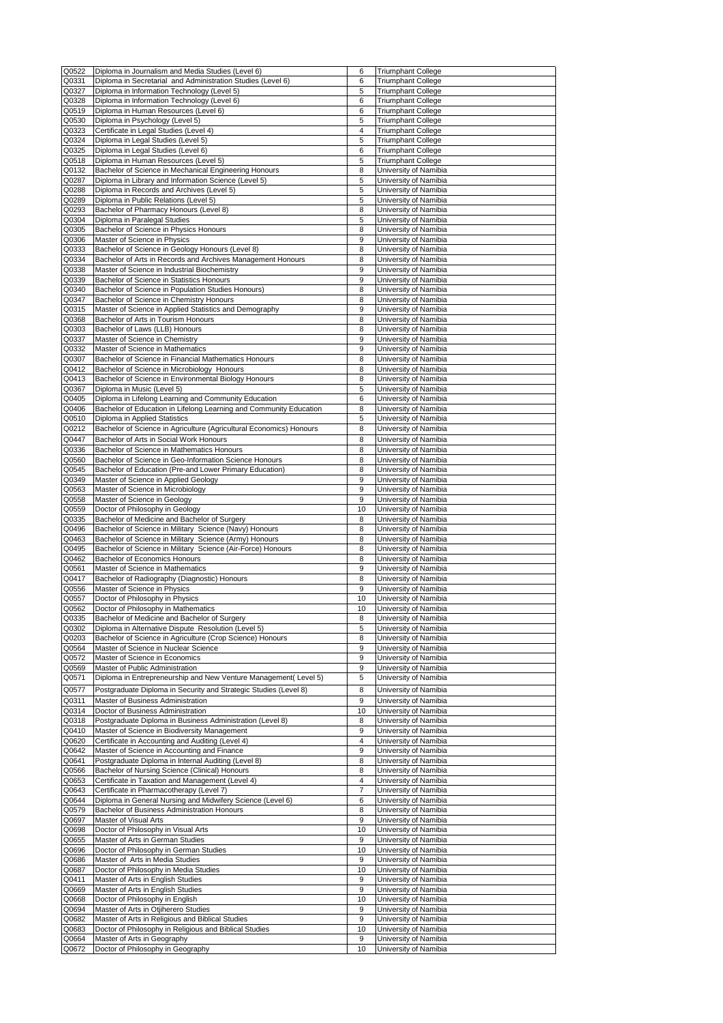| Q0522 | Diploma in Journalism and Media Studies (Level 6)                   | 6              | <b>Triumphant College</b>                      |
|-------|---------------------------------------------------------------------|----------------|------------------------------------------------|
| Q0331 | Diploma in Secretarial and Administration Studies (Level 6)         | 6              | <b>Triumphant College</b>                      |
| Q0327 | Diploma in Information Technology (Level 5)                         | 5              | <b>Triumphant College</b>                      |
| Q0328 | Diploma in Information Technology (Level 6)                         | 6              | <b>Triumphant College</b>                      |
| Q0519 | Diploma in Human Resources (Level 6)                                | 6              | <b>Triumphant College</b>                      |
| Q0530 | Diploma in Psychology (Level 5)                                     | 5              | <b>Triumphant College</b>                      |
| Q0323 | Certificate in Legal Studies (Level 4)                              | $\overline{4}$ |                                                |
| Q0324 | Diploma in Legal Studies (Level 5)                                  | 5              | <b>Triumphant College</b>                      |
|       |                                                                     |                | <b>Triumphant College</b>                      |
| Q0325 | Diploma in Legal Studies (Level 6)                                  | 6              | <b>Triumphant College</b>                      |
| Q0518 | Diploma in Human Resources (Level 5)                                | 5              | <b>Triumphant College</b>                      |
| Q0132 | Bachelor of Science in Mechanical Engineering Honours               | 8              | University of Namibia                          |
| Q0287 | Diploma in Library and Information Science (Level 5)                | 5              | University of Namibia                          |
| Q0288 | Diploma in Records and Archives (Level 5)                           | 5              | University of Namibia                          |
| Q0289 | Diploma in Public Relations (Level 5)                               | 5              | University of Namibia                          |
| Q0293 | Bachelor of Pharmacy Honours (Level 8)                              | 8              | University of Namibia                          |
| Q0304 | Diploma in Paralegal Studies                                        | 5              | University of Namibia                          |
| Q0305 | Bachelor of Science in Physics Honours                              | 8              | University of Namibia                          |
| Q0306 | Master of Science in Physics                                        | 9              | University of Namibia                          |
| Q0333 | Bachelor of Science in Geology Honours (Level 8)                    | 8              | University of Namibia                          |
| Q0334 | Bachelor of Arts in Records and Archives Management Honours         | 8              | University of Namibia                          |
| Q0338 | Master of Science in Industrial Biochemistry                        | 9              | University of Namibia                          |
| Q0339 | Bachelor of Science in Statistics Honours                           | 9              | University of Namibia                          |
| Q0340 |                                                                     | 8              | University of Namibia                          |
|       | Bachelor of Science in Population Studies Honours)                  |                |                                                |
| Q0347 | Bachelor of Science in Chemistry Honours                            | 8              | University of Namibia                          |
| Q0315 | Master of Science in Applied Statistics and Demography              | 9              | University of Namibia                          |
| Q0368 | Bachelor of Arts in Tourism Honours                                 | 8              | University of Namibia                          |
| Q0303 | Bachelor of Laws (LLB) Honours                                      | 8              | University of Namibia                          |
| Q0337 | Master of Science in Chemistry                                      | 9              | University of Namibia                          |
| Q0332 | Master of Science in Mathematics                                    | 9              | University of Namibia                          |
| Q0307 | Bachelor of Science in Financial Mathematics Honours                | 8              | University of Namibia                          |
| Q0412 | Bachelor of Science in Microbiology Honours                         | 8              | University of Namibia                          |
| Q0413 | Bachelor of Science in Environmental Biology Honours                | 8              | University of Namibia                          |
| Q0367 | Diploma in Music (Level 5)                                          | 5              | University of Namibia                          |
| Q0405 | Diploma in Lifelong Learning and Community Education                | 6              | University of Namibia                          |
| Q0406 | Bachelor of Education in Lifelong Learning and Community Education  | 8              | University of Namibia                          |
| Q0510 | Diploma in Applied Statistics                                       | 5              | University of Namibia                          |
| Q0212 | Bachelor of Science in Agriculture (Agricultural Economics) Honours | 8              | University of Namibia                          |
| Q0447 |                                                                     |                |                                                |
|       | Bachelor of Arts in Social Work Honours                             | 8              | University of Namibia                          |
| Q0336 | Bachelor of Science in Mathematics Honours                          | 8              | University of Namibia                          |
| Q0560 | Bachelor of Science in Geo-Information Science Honours              | 8              | University of Namibia                          |
| Q0545 | Bachelor of Education (Pre-and Lower Primary Education)             | 8              | University of Namibia                          |
| Q0349 | Master of Science in Applied Geology                                | 9              | University of Namibia                          |
| Q0563 | Master of Science in Microbiology                                   | 9              | University of Namibia                          |
| Q0558 | Master of Science in Geology                                        | 9              | University of Namibia                          |
| Q0559 | Doctor of Philosophy in Geology                                     | 10             | University of Namibia                          |
| Q0335 | Bachelor of Medicine and Bachelor of Surgery                        | 8              | University of Namibia                          |
| Q0496 | Bachelor of Science in Military Science (Navy) Honours              | 8              | University of Namibia                          |
| Q0463 | Bachelor of Science in Military Science (Army) Honours              | 8              | University of Namibia                          |
| Q0495 | Bachelor of Science in Military Science (Air-Force) Honours         | 8              | University of Namibia                          |
| Q0462 | Bachelor of Economics Honours                                       | 8              | University of Namibia                          |
| Q0561 | Master of Science in Mathematics                                    | 9              | University of Namibia                          |
| Q0417 | Bachelor of Radiography (Diagnostic) Honours                        | 8              | University of Namibia                          |
| Q0556 | Master of Science in Physics                                        | 9              | University of Namibia                          |
| Q0557 | Doctor of Philosophy in Physics                                     | 10             | University of Namibia                          |
| Q0562 | Doctor of Philosophy in Mathematics                                 | 10             | University of Namibia                          |
| Q0335 | Bachelor of Medicine and Bachelor of Surgery                        | 8              | University of Namibia                          |
| Q0302 | Diploma in Alternative Dispute Resolution (Level 5)                 | 5              | University of Namibia                          |
| Q0203 | Bachelor of Science in Agriculture (Crop Science) Honours           | 8              |                                                |
| Q0564 | Master of Science in Nuclear Science                                |                |                                                |
| Q0572 |                                                                     |                | University of Namibia                          |
|       |                                                                     | 9              | University of Namibia                          |
|       | Master of Science in Economics                                      | 9              | University of Namibia                          |
| Q0569 | Master of Public Administration                                     | 9              | University of Namibia                          |
| Q0571 | Diploma in Entrepreneurship and New Venture Management(Level 5)     | 5              | University of Namibia                          |
| Q0577 | Postgraduate Diploma in Security and Strategic Studies (Level 8)    | 8              | University of Namibia                          |
| Q0311 | Master of Business Administration                                   | 9              | University of Namibia                          |
| Q0314 | Doctor of Business Administration                                   | 10             | University of Namibia                          |
| Q0318 | Postgraduate Diploma in Business Administration (Level 8)           | 8              | University of Namibia                          |
| Q0410 | Master of Science in Biodiversity Management                        | 9              | University of Namibia                          |
|       |                                                                     |                |                                                |
| Q0620 | Certificate in Accounting and Auditing (Level 4)                    | 4              | University of Namibia                          |
| Q0642 | Master of Science in Accounting and Finance                         | 9              | University of Namibia                          |
| Q0641 | Postgraduate Diploma in Internal Auditing (Level 8)                 | 8              | University of Namibia                          |
| Q0566 | Bachelor of Nursing Science (Clinical) Honours                      | 8              | University of Namibia                          |
| Q0653 | Certificate in Taxation and Management (Level 4)                    | 4              | University of Namibia                          |
| Q0643 | Certificate in Pharmacotherapy (Level 7)                            | $\overline{7}$ | University of Namibia                          |
| Q0644 | Diploma in General Nursing and Midwifery Science (Level 6)          | 6              | University of Namibia                          |
| Q0579 | Bachelor of Business Administration Honours                         | 8              | University of Namibia                          |
| Q0697 | Master of Visual Arts                                               | 9              | University of Namibia                          |
| Q0698 | Doctor of Philosophy in Visual Arts                                 | 10             | University of Namibia                          |
| Q0655 | Master of Arts in German Studies                                    | 9              | University of Namibia                          |
| Q0696 | Doctor of Philosophy in German Studies                              | 10             | University of Namibia                          |
| Q0686 | Master of Arts in Media Studies                                     | 9              | University of Namibia                          |
| Q0687 | Doctor of Philosophy in Media Studies                               | 10             | University of Namibia                          |
| Q0411 | Master of Arts in English Studies                                   | 9              | University of Namibia                          |
| Q0669 | Master of Arts in English Studies                                   | 9              | University of Namibia                          |
| Q0668 | Doctor of Philosophy in English                                     | 10             | University of Namibia                          |
| Q0694 | Master of Arts in Otjiherero Studies                                | 9              | University of Namibia                          |
| Q0682 | Master of Arts in Religious and Biblical Studies                    | 9              | University of Namibia                          |
| Q0683 | Doctor of Philosophy in Religious and Biblical Studies              | 10             | University of Namibia                          |
| Q0664 | Master of Arts in Geography<br>Doctor of Philosophy in Geography    | 9              | University of Namibia<br>University of Namibia |